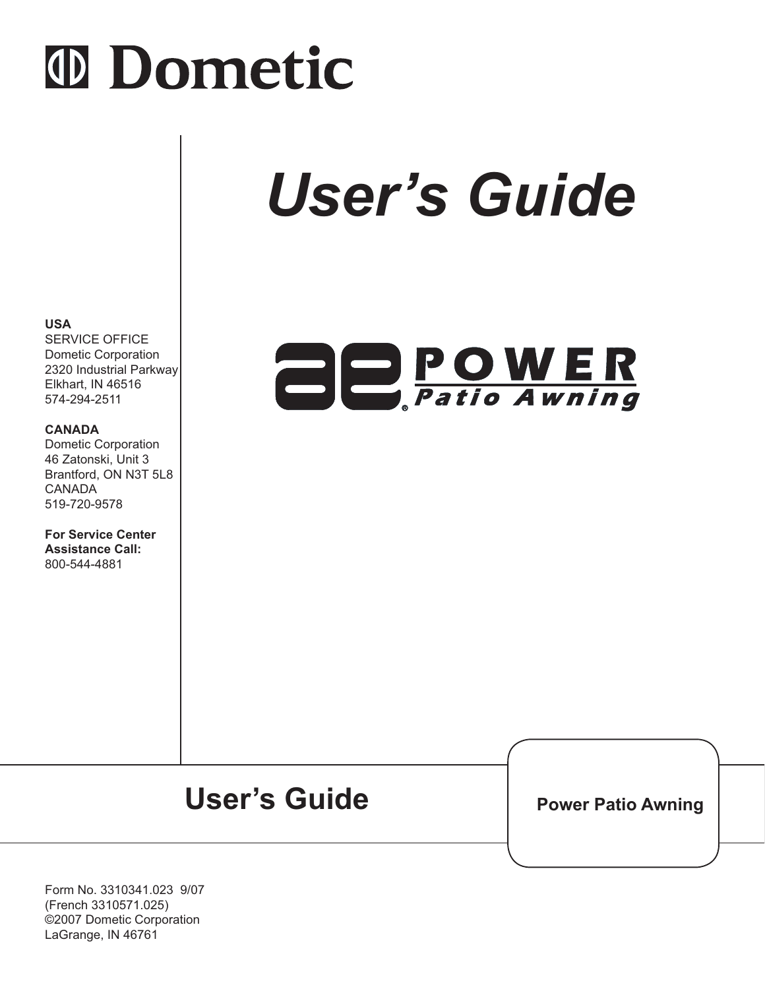# **ID Dometic**

# *User's Guide*

# **ADPOWER**

#### **USA**

SERVICE OFFICE Dometic Corporation 2320 Industrial Parkway Elkhart, IN 46516 574-294-2511

#### **CANADA**

Dometic Corporation 46 Zatonski, Unit 3 Brantford, ON N3T 5L8 CANADA 519-720-9578

**For Service Center Assistance Call:** 800-544-4881

# User's Guide **Power Patio Awning**

Form No. 3310341.023 9/07 (French 3310571.025) ©2007 Dometic Corporation LaGrange, IN 46761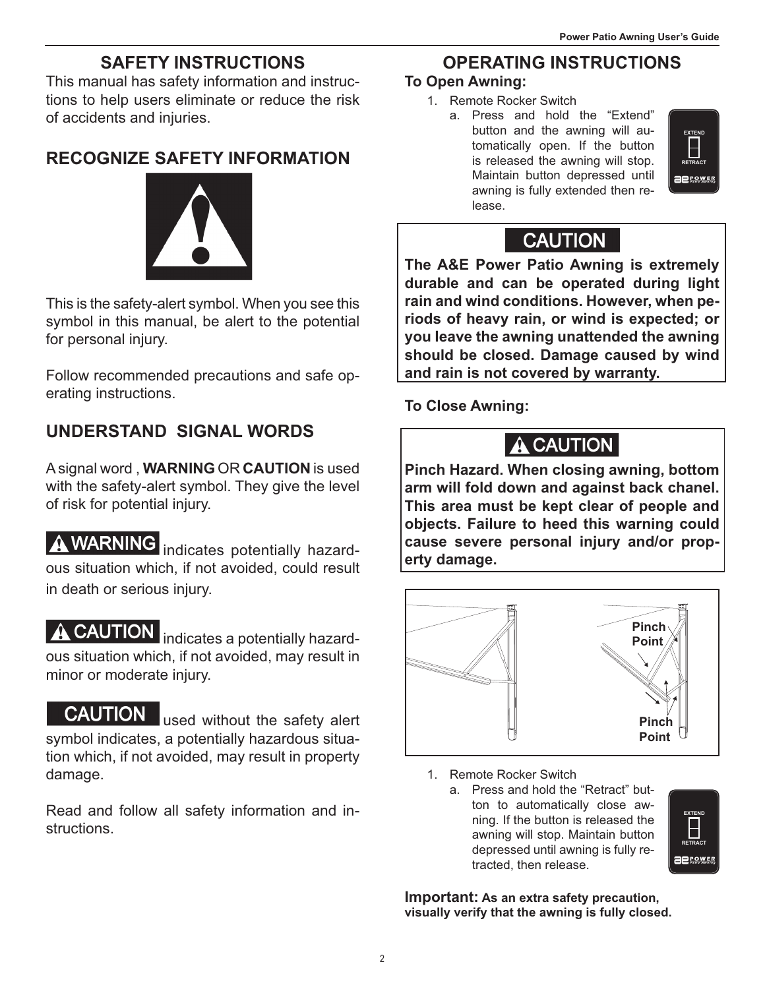## **SAFETY INSTRUCTIONS**

This manual has safety information and instructions to help users eliminate or reduce the risk of accidents and injuries.

### **RECOGNIZE SAFETY INFORMATION**



This is the safety-alert symbol. When you see this symbol in this manual, be alert to the potential for personal injury.

Follow recommended precautions and safe operating instructions.

# **UNDERSTAND SIGNAL WORDS**

A signal word , **WARNING** OR **CAUTION** is used with the safety-alert symbol. They give the level of risk for potential injury.

**A WARNING** indicates potentially hazardous situation which, if not avoided, could result in death or serious injury.

**A CAUTION** indicates a potentially hazardous situation which, if not avoided, may result in minor or moderate injury.

**CAUTION** used without the safety alert symbol indicates, a potentially hazardous situation which, if not avoided, may result in property damage.

Read and follow all safety information and instructions.

## **OPERATING INSTRUCTIONS**

#### **To Open Awning:**

- 1. Remote Rocker Switch
	- a. Press and hold the "Extend" button and the awning will automatically open. If the button is released the awning will stop. Maintain button depressed until awning is fully extended then release.



### **CAUTION**

**The A&E Power Patio Awning is extremely durable and can be operated during light rain and wind conditions. However, when periods of heavy rain, or wind is expected; or you leave the awning unattended the awning should be closed. Damage caused by wind and rain is not covered by warranty.**

**To Close Awning:**



**Pinch Hazard. When closing awning, bottom arm will fold down and against back chanel. This area must be kept clear of people and objects. Failure to heed this warning could cause severe personal injury and/or property damage.**



- 1. Remote Rocker Switch
	- a. Press and hold the "Retract" button to automatically close awning. If the button is released the awning will stop. Maintain button depressed until awning is fully retracted, then release.



**Important: As an extra safety precaution, visually verify that the awning is fully closed.**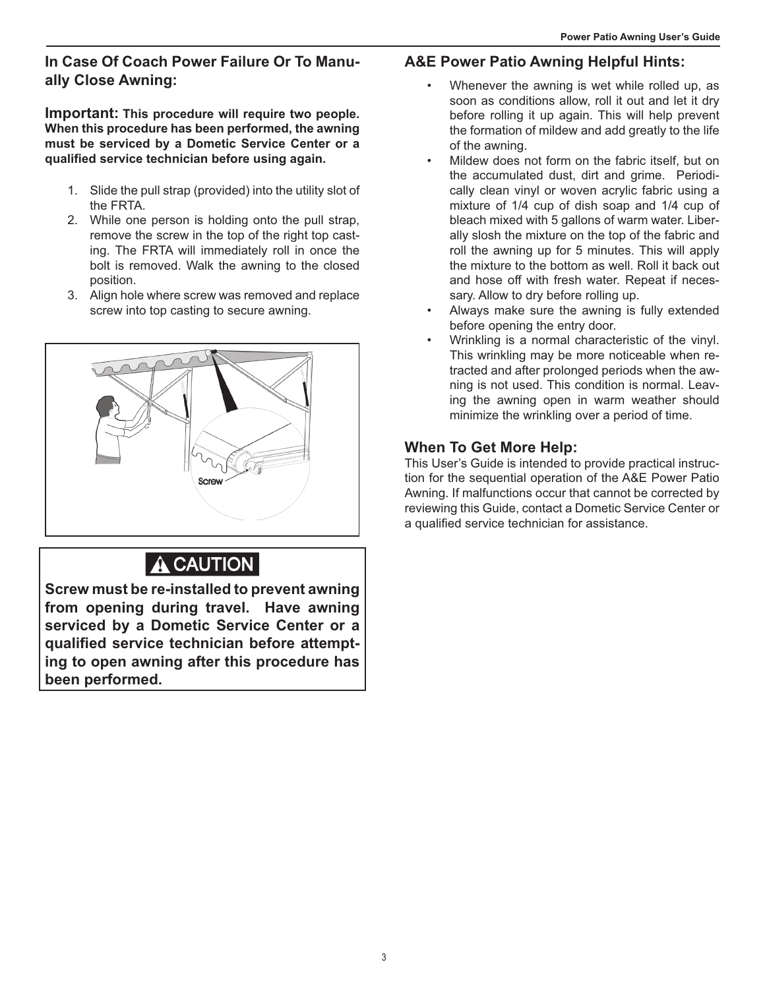#### **In Case Of Coach Power Failure Or To Manually Close Awning:**

**Important: This procedure will require two people. When this procedure has been performed, the awning must be serviced by a Dometic Service Center or a qualified service technician before using again.** 

- 1. Slide the pull strap (provided) into the utility slot of the FRTA.
- 2. While one person is holding onto the pull strap, remove the screw in the top of the right top casting. The FRTA will immediately roll in once the bolt is removed. Walk the awning to the closed position.
- 3. Align hole where screw was removed and replace screw into top casting to secure awning.



# A CAUTION

**Screw must be re-installed to prevent awning from opening during travel. Have awning serviced by a Dometic Service Center or a qualified service technician before attempting to open awning after this procedure has been performed.** 

#### **A&E Power Patio Awning Helpful Hints:**

- Whenever the awning is wet while rolled up, as soon as conditions allow, roll it out and let it dry before rolling it up again. This will help prevent the formation of mildew and add greatly to the life of the awning.
- Mildew does not form on the fabric itself, but on the accumulated dust, dirt and grime. Periodically clean vinyl or woven acrylic fabric using a mixture of 1/4 cup of dish soap and 1/4 cup of bleach mixed with 5 gallons of warm water. Liberally slosh the mixture on the top of the fabric and roll the awning up for 5 minutes. This will apply the mixture to the bottom as well. Roll it back out and hose off with fresh water. Repeat if necessary. Allow to dry before rolling up.
- Always make sure the awning is fully extended before opening the entry door.
- Wrinkling is a normal characteristic of the vinyl. This wrinkling may be more noticeable when retracted and after prolonged periods when the awning is not used. This condition is normal. Leaving the awning open in warm weather should minimize the wrinkling over a period of time.

#### **When To Get More Help:**

This User's Guide is intended to provide practical instruction for the sequential operation of the A&E Power Patio Awning. If malfunctions occur that cannot be corrected by reviewing this Guide, contact a Dometic Service Center or a qualified service technician for assistance.